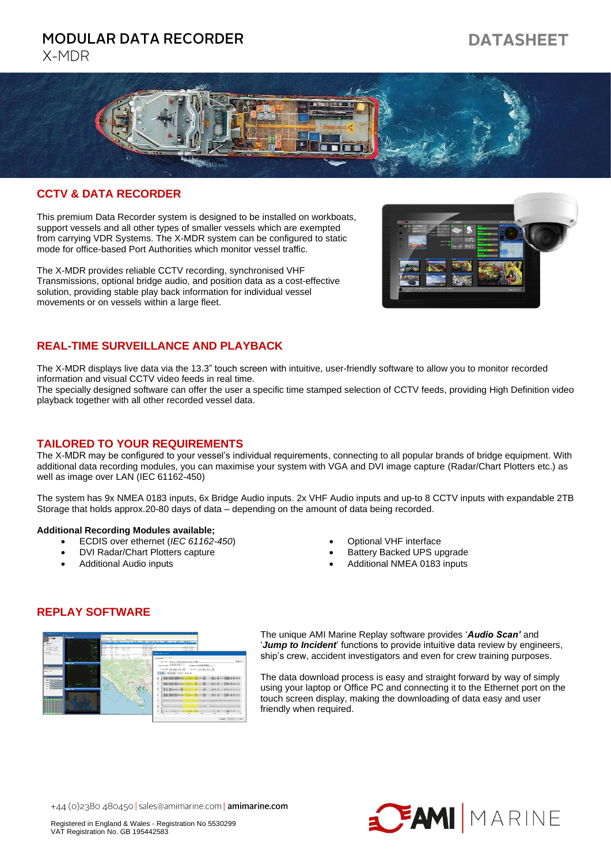# **MODULAR DATA RECORDER**

# X-MDR

# **DATASHEET**



## **CCTV & DATA RECORDER**

This premium Data Recorder system is designed to be installed on workboats, support vessels and all other types of smaller vessels which are exempted from carrying VDR Systems. The X-MDR system can be configured to static mode for office-based Port Authorities which monitor vessel traffic.

The X-MDR provides reliable CCTV recording, synchronised VHF Transmissions, optional bridge audio, and position data as a cost-effective solution, providing stable play back information for individual vessel movements or on vessels within a large fleet.



#### **REAL-TIME SURVEILLANCE AND PLAYBACK**

The X-MDR displays live data via the 13.3" touch screen with intuitive, user-friendly software to allow you to monitor recorded information and visual CCTV video feeds in real time.

The specially designed software can offer the user a specific time stamped selection of CCTV feeds, providing High Definition video playback together with all other recorded vessel data.

#### **TAILORED TO YOUR REQUIREMENTS**

The X-MDR may be configured to your vessel's individual requirements, connecting to all popular brands of bridge equipment. With additional data recording modules, you can maximise your system with VGA and DVI image capture (Radar/Chart Plotters etc.) as well as image over LAN (IEC 61162-450)

The system has 9x NMEA 0183 inputs, 6x Bridge Audio inputs. 2x VHF Audio inputs and up-to 8 CCTV inputs with expandable 2TB Storage that holds approx.20-80 days of data – depending on the amount of data being recorded.

#### **Additional Recording Modules available;**

- ECDIS over ethernet (*IEC 61162-450*)
- DVI Radar/Chart Plotters capture
- Additional Audio inputs
- Optional VHF interface
- Battery Backed UPS upgrade
- Additional NMEA 0183 inputs

# **REPLAY SOFTWARE**



The unique AMI Marine Replay software provides '*Audio Scan'* and '*Jump to Incident*' functions to provide intuitive data review by engineers, ship's crew, accident investigators and even for crew training purposes.

The data download process is easy and straight forward by way of simply using your laptop or Office PC and connecting it to the Ethernet port on the touch screen display, making the downloading of data easy and user friendly when required.

+44 (0)2380 480450 | sales@amimarine.com | amimarine.com